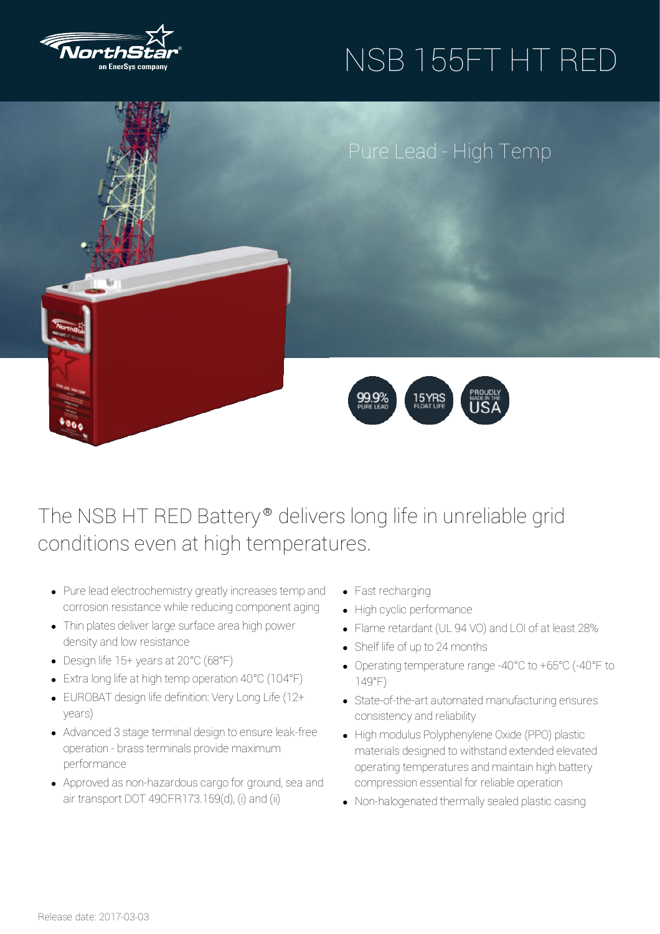

# NSB 155FT HT RED



### The NSB HT RED Battery<sup>®</sup> delivers long life in unreliable grid conditions even at high temperatures.

- Pure lead electrochemistry greatly increases temp and corrosion resistance while reducing component aging
- Thin plates deliver large surface area high power density and low resistance
- Design life 15+ yearsat 20°C (68°F)
- Extralong lifeat high temp operation 40°C (104°F)
- EUROBAT design life definition: VeryLong Life (12+ years)
- Advanced 3 stage terminal design to ensure leak-free operation - brassterminals provide maximum performance
- Approved as non-hazardous cargo for ground, sea and air transport DOT 49CFR173.159(d), (i) and (ii)
- Fast recharging
- High cyclic performance
- Flame retardant (UL 94 VO) and LOI of at least 28%
- Shelf life of up to 24months
- Operating temperature range -40°C to +65°C (-40°F to 149°F)
- State-of-the-art automated manufacturing ensures consistencyand reliability
- High modulus Polyphenylene Oxide (PPO) plastic materials designed to withstand extended elevated operating temperatures and maintain high battery compression essential for reliable operation
- Non-halogenated thermally sealed plastic casing